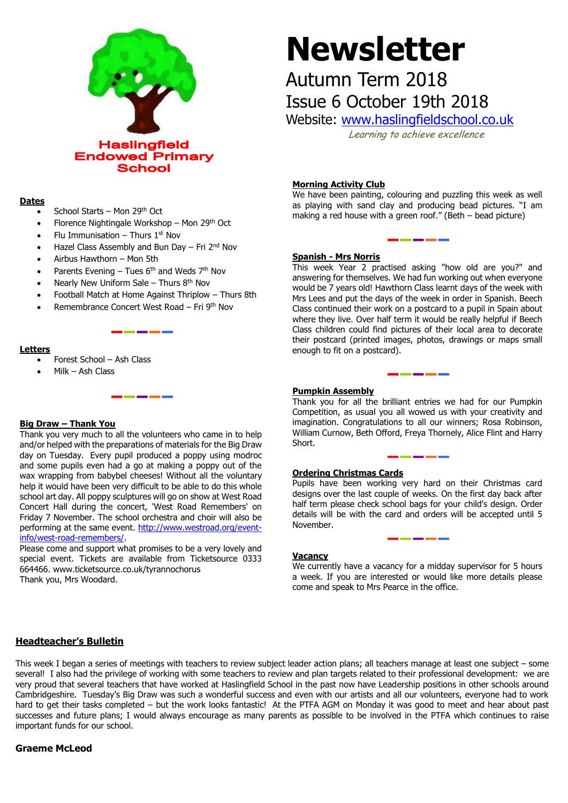

# **Dates**

- School Starts Mon 29th Oct
- Florence Nightingale Workshop Mon 29th Oct
- Flu Immunisation Thurs  $1<sup>st</sup>$  Nov
- Hazel Class Assembly and Bun Day  $-$  Fri 2<sup>nd</sup> Nov
- Airbus Hawthorn Mon 5th
- Parents Evening Tues  $6<sup>th</sup>$  and Weds  $7<sup>th</sup>$  Nov
- Nearly New Uniform Sale Thurs  $8<sup>th</sup>$  Nov
- Football Match at Home Against Thriplow Thurs 8th
- Remembrance Concert West Road Fri 9th Nov

### **Letters**

- Forest School Ash Class
- Milk Ash Class

# **Big Draw – Thank You**

 and/or helped with the preparations of materials for the Big Draw and some pupils even had a go at making a poppy out of the Thank you very much to all the volunteers who came in to help day on Tuesday. Every pupil produced a poppy using modroc wax wrapping from babybel cheeses! Without all the voluntary help it would have been very difficult to be able to do this whole school art day. All poppy sculptures will go on show at West Road Concert Hall during the concert, 'West Road Remembers' on Friday 7 November. The school orchestra and choir will also be performing at the same event. [http://www.westroad.org/event](http://www.westroad.org/event-info/west-road-remembers/)[info/west-road-remembers/.](http://www.westroad.org/event-info/west-road-remembers/)

Please come and support what promises to be a very lovely and special event. Tickets are available from Ticketsource 0333 664466. www.ticketsource.co.uk/tyrannochorus Thank you, Mrs Woodard.

# **Newsletter**

# Autumn Term 2018 Issue 6 October 19th 2018

Website: [www.haslingfieldschool.co.uk](http://www.haslingfieldschool.co.uk/)

Learning to achieve excellence

# **Morning Activity Club**

We have been painting, colouring and puzzling this week as well as playing with sand clay and producing bead pictures. "I am making a red house with a green roof." (Beth – bead picture)

#### **Spanish - Mrs Norris**

This week Year 2 practised asking "how old are you?" and answering for themselves. We had fun working out when everyone would be 7 years old! Hawthorn Class learnt days of the week with Mrs Lees and put the days of the week in order in Spanish. Beech Class continued their work on a postcard to a pupil in Spain about where they live. Over half term it would be really helpful if Beech Class children could find pictures of their local area to decorate their postcard (printed images, photos, drawings or maps small enough to fit on a postcard).

### **Pumpkin Assembly**

Thank you for all the brilliant entries we had for our Pumpkin Competition, as usual you all wowed us with your creativity and imagination. Congratulations to all our winners; Rosa Robinson, William Curnow, Beth Offord, Freya Thornely, Alice Flint and Harry Short.

#### **Ordering Christmas Cards**

Pupils have been working very hard on their Christmas card designs over the last couple of weeks. On the first day back after half term please check school bags for your child's design. Order details will be with the card and orders will be accepted until 5 November.

#### **Vacancy**

We currently have a vacancy for a midday supervisor for 5 hours a week. If you are interested or would like more details please come and speak to Mrs Pearce in the office.

# **Headteacher's Bulletin**

This week I began a series of meetings with teachers to review subject leader action plans; all teachers manage at least one subject – some several! I also had the privilege of working with some teachers to review and plan targets related to their professional development: we are very proud that several teachers that have worked at Haslingfield School in the past now have Leadership positions in other schools around Cambridgeshire. Tuesday's Big Draw was such a wonderful success and even with our artists and all our volunteers, everyone had to work hard to get their tasks completed – but the work looks fantastic! At the PTFA AGM on Monday it was good to meet and hear about past successes and future plans; I would always encourage as many parents as possible to be involved in the PTFA which continues to raise important funds for our school.

# **Graeme McLeod**